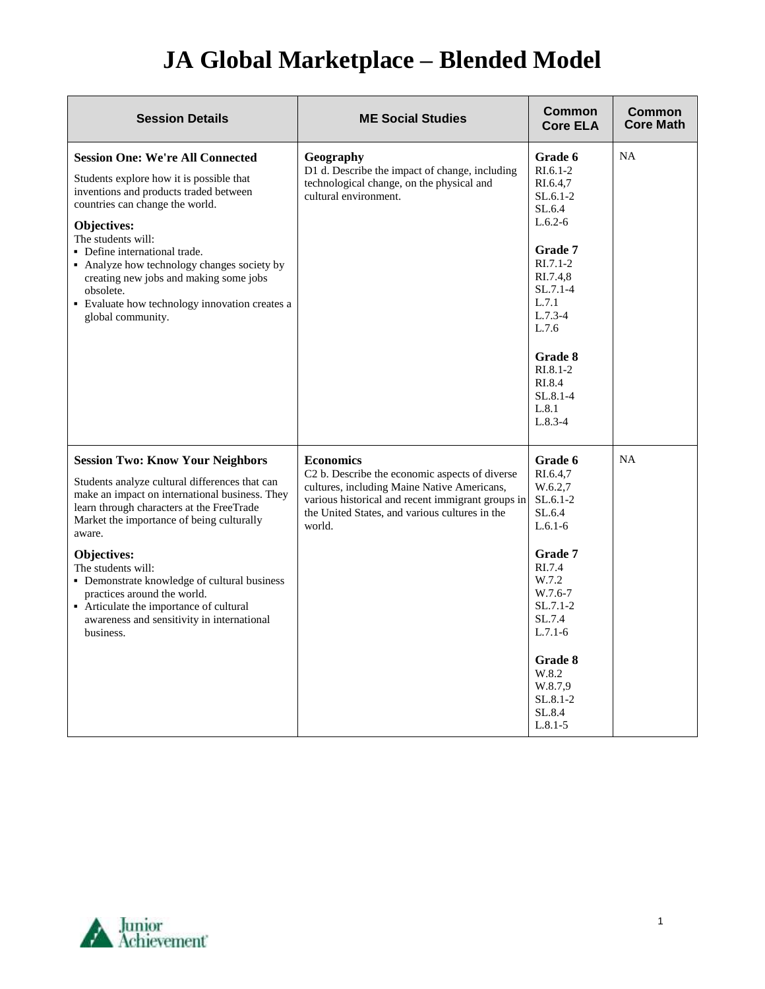## **JA Global Marketplace – Blended Model**

| <b>Session Details</b>                                                                                                                                                                                                                                                                                                                                                                                                                                                    | <b>ME Social Studies</b>                                                                                                                                                                                                           | Common<br><b>Core ELA</b>                                                                                                                                                                                          | <b>Common</b><br><b>Core Math</b> |
|---------------------------------------------------------------------------------------------------------------------------------------------------------------------------------------------------------------------------------------------------------------------------------------------------------------------------------------------------------------------------------------------------------------------------------------------------------------------------|------------------------------------------------------------------------------------------------------------------------------------------------------------------------------------------------------------------------------------|--------------------------------------------------------------------------------------------------------------------------------------------------------------------------------------------------------------------|-----------------------------------|
| <b>Session One: We're All Connected</b><br>Students explore how it is possible that<br>inventions and products traded between<br>countries can change the world.<br>Objectives:<br>The students will:<br>• Define international trade.<br>• Analyze how technology changes society by<br>creating new jobs and making some jobs<br>obsolete.<br>• Evaluate how technology innovation creates a<br>global community.                                                       | Geography<br>D1 d. Describe the impact of change, including<br>technological change, on the physical and<br>cultural environment.                                                                                                  | Grade 6<br>$R1.6.1-2$<br>RI.6.4,7<br>$SL.6.1-2$<br>SL.6.4<br>$L.6.2-6$<br><b>Grade 7</b><br>$RI.7.1-2$<br>RI.7.4.8<br>$SL.7.1-4$<br>L.7.1<br>$L.7.3-4$<br>L.7.6<br>Grade 8<br>$R1.8.1-2$<br>RI.8.4<br>$SL.8.1 - 4$ | NA                                |
|                                                                                                                                                                                                                                                                                                                                                                                                                                                                           |                                                                                                                                                                                                                                    | L.8.1<br>$L.8.3-4$                                                                                                                                                                                                 |                                   |
| <b>Session Two: Know Your Neighbors</b><br>Students analyze cultural differences that can<br>make an impact on international business. They<br>learn through characters at the FreeTrade<br>Market the importance of being culturally<br>aware.<br>Objectives:<br>The students will:<br>• Demonstrate knowledge of cultural business<br>practices around the world.<br>• Articulate the importance of cultural<br>awareness and sensitivity in international<br>business. | <b>Economics</b><br>C2 b. Describe the economic aspects of diverse<br>cultures, including Maine Native Americans,<br>various historical and recent immigrant groups in<br>the United States, and various cultures in the<br>world. | Grade 6<br>RI.6.4,7<br>W.6.2.7<br>$SL.6.1-2$<br>SL.6.4<br>$L.6.1-6$<br><b>Grade 7</b><br>RI.7.4<br>W.7.2<br>W.7.6-7<br>$SL.7.1-2$<br>SL.7.4<br>$L.7.1-6$                                                           | <b>NA</b>                         |
|                                                                                                                                                                                                                                                                                                                                                                                                                                                                           |                                                                                                                                                                                                                                    | <b>Grade 8</b><br>W.8.2<br>W.8.7,9<br>$SL.8.1 - 2$<br>SL.8.4<br>$L.8.1 - 5$                                                                                                                                        |                                   |

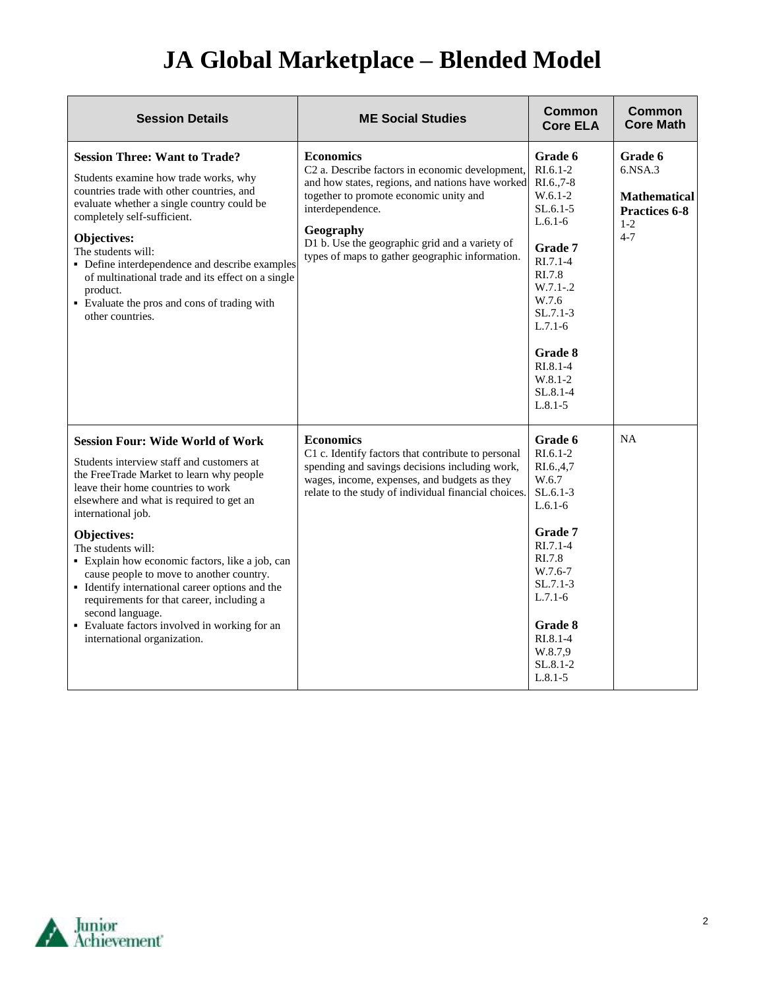## **JA Global Marketplace – Blended Model**

| <b>Session Details</b>                                                                                                                                                                                                                                                                                                                                                                                                                                                                                                                                                           | <b>ME Social Studies</b>                                                                                                                                                                                                                                                                                | <b>Common</b><br><b>Core ELA</b>                                                                                                                                                                                                         | <b>Common</b><br><b>Core Math</b>                                                             |
|----------------------------------------------------------------------------------------------------------------------------------------------------------------------------------------------------------------------------------------------------------------------------------------------------------------------------------------------------------------------------------------------------------------------------------------------------------------------------------------------------------------------------------------------------------------------------------|---------------------------------------------------------------------------------------------------------------------------------------------------------------------------------------------------------------------------------------------------------------------------------------------------------|------------------------------------------------------------------------------------------------------------------------------------------------------------------------------------------------------------------------------------------|-----------------------------------------------------------------------------------------------|
| <b>Session Three: Want to Trade?</b><br>Students examine how trade works, why<br>countries trade with other countries, and<br>evaluate whether a single country could be<br>completely self-sufficient.<br>Objectives:<br>The students will:<br>• Define interdependence and describe examples<br>of multinational trade and its effect on a single<br>product.<br>• Evaluate the pros and cons of trading with<br>other countries.                                                                                                                                              | <b>Economics</b><br>C2 a. Describe factors in economic development,<br>and how states, regions, and nations have worked<br>together to promote economic unity and<br>interdependence.<br>Geography<br>D1 b. Use the geographic grid and a variety of<br>types of maps to gather geographic information. | Grade 6<br>$RL6.1-2$<br>RI.6.,7-8<br>$W.6.1-2$<br>$SL.6.1-5$<br>$L.6.1-6$<br><b>Grade</b> 7<br>$RI.7.1-4$<br>RI.7.8<br>$W.7.1-.2$<br>W.7.6<br>$SL.7.1-3$<br>$L.7.1-6$<br>Grade 8<br>$RL.8.1-4$<br>$W.8.1 - 2$<br>SL.8.1-4<br>$L.8.1 - 5$ | Grade 6<br>$6.$ NSA. $3$<br><b>Mathematical</b><br><b>Practices 6-8</b><br>$1 - 2$<br>$4 - 7$ |
| <b>Session Four: Wide World of Work</b><br>Students interview staff and customers at<br>the FreeTrade Market to learn why people<br>leave their home countries to work<br>elsewhere and what is required to get an<br>international job.<br>Objectives:<br>The students will:<br>• Explain how economic factors, like a job, can<br>cause people to move to another country.<br>• Identify international career options and the<br>requirements for that career, including a<br>second language.<br>• Evaluate factors involved in working for an<br>international organization. | <b>Economics</b><br>C1 c. Identify factors that contribute to personal<br>spending and savings decisions including work,<br>wages, income, expenses, and budgets as they<br>relate to the study of individual financial choices.                                                                        | Grade 6<br>$RI.6.1-2$<br>RI.6.,4,7<br>W.6.7<br>$SL.6.1-3$<br>$L.6.1-6$<br>Grade 7<br>$RI.7.1-4$<br>RI.7.8<br>W.7.6-7<br>$SL.7.1-3$<br>$L.7.1-6$<br>Grade 8<br>$RL.8.1-4$<br>W.8.7,9<br>SL.8.1-2<br>$L.8.1 - 5$                           | <b>NA</b>                                                                                     |